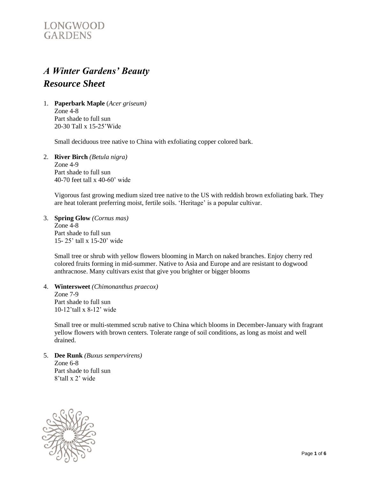# LONGWOOD **GARDENS**

# *A Winter Gardens' Beauty Resource Sheet*

1. **Paperbark Maple** (*Acer griseum)* Zone 4-8 Part shade to full sun 20-30 Tall x 15-25'Wide

Small deciduous tree native to China with exfoliating copper colored bark.

2. **River Birch** *(Betula nigra)* Zone 4-9 Part shade to full sun 40-70 feet tall x 40-60' wide

> Vigorous fast growing medium sized tree native to the US with reddish brown exfoliating bark. They are heat tolerant preferring moist, fertile soils. 'Heritage' is a popular cultivar.

3. **Spring Glow** *(Cornus mas)* Zone 4-8 Part shade to full sun 15- 25' tall x 15-20' wide

> Small tree or shrub with yellow flowers blooming in March on naked branches. Enjoy cherry red colored fruits forming in mid-summer. Native to Asia and Europe and are resistant to dogwood anthracnose. Many cultivars exist that give you brighter or bigger blooms

4. **Wintersweet** *(Chimonanthus praecox)* Zone 7-9 Part shade to full sun 10-12'tall x 8-12' wide

Small tree or multi-stemmed scrub native to China which blooms in December-January with fragrant yellow flowers with brown centers. Tolerate range of soil conditions, as long as moist and well drained.

5. **Dee Runk** *(Buxus sempervirens)* Zone 6-8 Part shade to full sun 8'tall x 2' wide

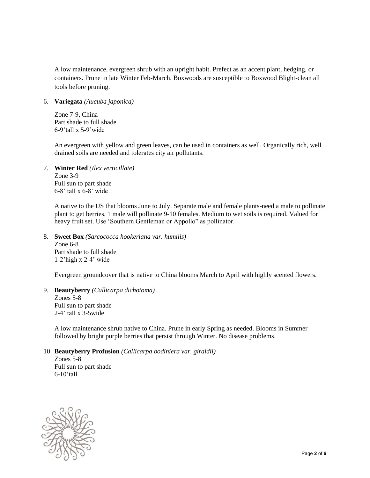A low maintenance, evergreen shrub with an upright habit. Prefect as an accent plant, hedging, or containers. Prune in late Winter Feb-March. Boxwoods are susceptible to Boxwood Blight-clean all tools before pruning.

6. **Variegata** *(Aucuba japonica)*

Zone 7-9, China Part shade to full shade 6-9'tall x 5-9'wide

An evergreen with yellow and green leaves, can be used in containers as well. Organically rich, well drained soils are needed and tolerates city air pollutants.

7. **Winter Red** *(Ilex verticillate)* Zone 3-9 Full sun to part shade 6-8' tall x 6-8' wide

> A native to the US that blooms June to July. Separate male and female plants-need a male to pollinate plant to get berries, 1 male will pollinate 9-10 females. Medium to wet soils is required. Valued for heavy fruit set. Use 'Southern Gentleman or Appollo" as pollinator.

## 8. **Sweet Box** *(Sarcococca hookeriana var. humilis)*

Zone 6-8 Part shade to full shade 1-2'high x 2-4' wide

Evergreen groundcover that is native to China blooms March to April with highly scented flowers.

#### 9. **Beautyberry** *(Callicarpa dichotoma)* Zones 5-8

Full sun to part shade 2-4' tall x 3-5wide

A low maintenance shrub native to China. Prune in early Spring as needed. Blooms in Summer followed by bright purple berries that persist through Winter. No disease problems.

#### 10. **Beautyberry Profusion** *(Callicarpa bodiniera var. giraldii)*

Zones 5-8 Full sun to part shade 6-10'tall

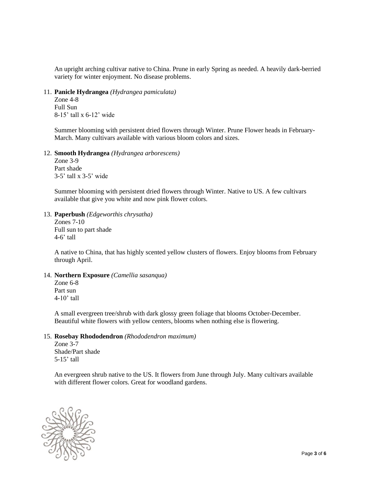An upright arching cultivar native to China. Prune in early Spring as needed. A heavily dark-berried variety for winter enjoyment. No disease problems.

11. **Panicle Hydrangea** *(Hydrangea pamiculata)*

Zone 4-8 Full Sun 8-15' tall x 6-12' wide

Summer blooming with persistent dried flowers through Winter. Prune Flower heads in February-March. Many cultivars available with various bloom colors and sizes.

12. **Smooth Hydrangea** *(Hydrangea arborescens)*

Zone 3-9 Part shade 3-5' tall x 3-5' wide

Summer blooming with persistent dried flowers through Winter. Native to US. A few cultivars available that give you white and now pink flower colors.

13. **Paperbush** *(Edgeworthis chrysatha)*

Zones 7-10 Full sun to part shade 4-6' tall

A native to China, that has highly scented yellow clusters of flowers. Enjoy blooms from February through April.

### 14. **Northern Exposure** *(Camellia sasanqua)*

Zone 6-8 Part sun 4-10' tall

A small evergreen tree/shrub with dark glossy green foliage that blooms October-December. Beautiful white flowers with yellow centers, blooms when nothing else is flowering.

#### 15. **Rosebay Rhododendron** *(Rhododendron maximum)*

Zone 3-7 Shade/Part shade 5-15' tall

An evergreen shrub native to the US. It flowers from June through July. Many cultivars available with different flower colors. Great for woodland gardens.

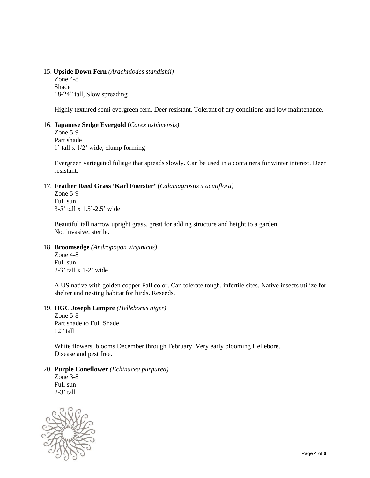#### 15. **Upside Down Fern** *(Arachniodes standishii)*

Zone 4-8 Shade 18-24" tall, Slow spreading

Highly textured semi evergreen fern. Deer resistant. Tolerant of dry conditions and low maintenance.

#### 16. **Japanese Sedge Evergold (***Carex oshimensis)*

Zone 5-9 Part shade 1' tall x 1/2' wide, clump forming

Evergreen variegated foliage that spreads slowly. Can be used in a containers for winter interest. Deer resistant.

#### 17. **Feather Reed Grass 'Karl Foerster' (***Calamagrostis x acutiflora)*

Zone 5-9 Full sun 3-5' tall x 1.5'-2.5' wide

Beautiful tall narrow upright grass, great for adding structure and height to a garden. Not invasive, sterile.

18. **Broomsedge** *(Andropogon virginicus)*

Zone 4-8 Full sun 2-3' tall x 1-2' wide

A US native with golden copper Fall color. Can tolerate tough, infertile sites. Native insects utilize for shelter and nesting habitat for birds. Reseeds.

#### 19. **HGC Joseph Lempre** *(Helleborus niger)*

Zone 5-8 Part shade to Full Shade  $12$ " tall

White flowers, blooms December through February. Very early blooming Hellebore. Disease and pest free.

#### 20. **Purple Coneflower** *(Echinacea purpurea)*

Zone 3-8 Full sun 2-3' tall

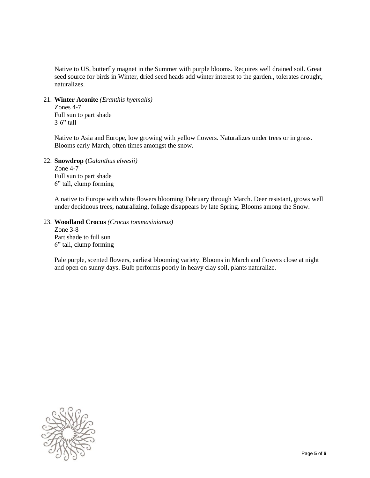Native to US, butterfly magnet in the Summer with purple blooms. Requires well drained soil. Great seed source for birds in Winter, dried seed heads add winter interest to the garden., tolerates drought, naturalizes.

#### 21. **Winter Aconite** *(Eranthis hyemalis)*

Zones 4-7 Full sun to part shade  $3-6$ " tall

Native to Asia and Europe, low growing with yellow flowers. Naturalizes under trees or in grass. Blooms early March, often times amongst the snow.

#### 22. **Snowdrop (***Galanthus elwesii)*

Zone 4-7 Full sun to part shade 6" tall, clump forming

A native to Europe with white flowers blooming February through March. Deer resistant, grows well under deciduous trees, naturalizing, foliage disappears by late Spring. Blooms among the Snow.

#### 23. **Woodland Crocus** *(Crocus tommasinianus)*

Zone 3-8 Part shade to full sun 6" tall, clump forming

Pale purple, scented flowers, earliest blooming variety. Blooms in March and flowers close at night and open on sunny days. Bulb performs poorly in heavy clay soil, plants naturalize.